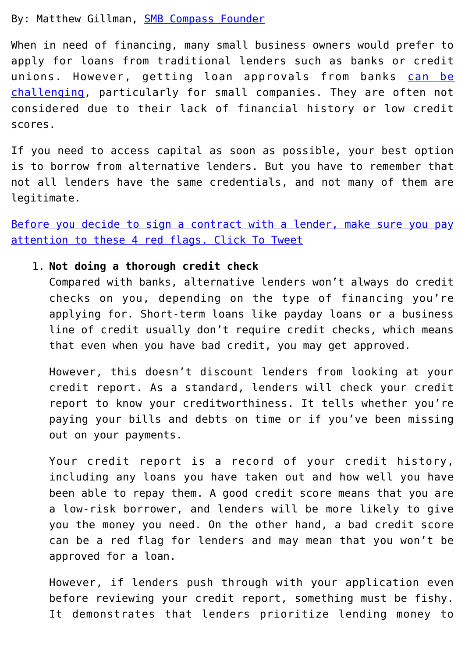By: Matthew Gillman, **[SMB Compass Founder](https://www.smbcompass.com/)** 

When in need of financing, many small business owners would prefer to apply for loans from traditional lenders such as banks or credit unions. However, getting loan approvals from banks [can be](https://www.smbcompass.com/5-reasons-why-banks-dont-lend-small-businesses/) [challenging](https://www.smbcompass.com/5-reasons-why-banks-dont-lend-small-businesses/), particularly for small companies. They are often not considered due to their lack of financial history or low credit scores.

If you need to access capital as soon as possible, your best option is to borrow from alternative lenders. But you have to remember that not all lenders have the same credentials, and not many of them are legitimate.

[Before you decide to sign a contract with a lender, make sure you pay](https://twitter.com/intent/tweet?url=https%3A%2F%2Fwp.me%2Fp5lHnz-jSt&text=Before%20you%20decide%20to%20sign%20a%20contract%20with%20a%20lender%2C%20make%20sure%20you%20pay%20attention%20to%20these%204%20red%20flags.&via=ASBDC&related=ASBDC) [attention to these 4 red flags. Click To Tweet](https://twitter.com/intent/tweet?url=https%3A%2F%2Fwp.me%2Fp5lHnz-jSt&text=Before%20you%20decide%20to%20sign%20a%20contract%20with%20a%20lender%2C%20make%20sure%20you%20pay%20attention%20to%20these%204%20red%20flags.&via=ASBDC&related=ASBDC)

# 1. **Not doing a thorough credit check**

Compared with banks, alternative lenders won't always do credit checks on you, depending on the type of financing you're applying for. Short-term loans like payday loans or a business line of credit usually don't require credit checks, which means that even when you have bad credit, you may get approved.

However, this doesn't discount lenders from looking at your credit report. As a standard, lenders will check your credit report to know your creditworthiness. It tells whether you're paying your bills and debts on time or if you've been missing out on your payments.

Your credit report is a record of your credit history, including any loans you have taken out and how well you have been able to repay them. A good credit score means that you are a low-risk borrower, and lenders will be more likely to give you the money you need. On the other hand, a bad credit score can be a red flag for lenders and may mean that you won't be approved for a loan.

However, if lenders push through with your application even before reviewing your credit report, something must be fishy. It demonstrates that lenders prioritize lending money to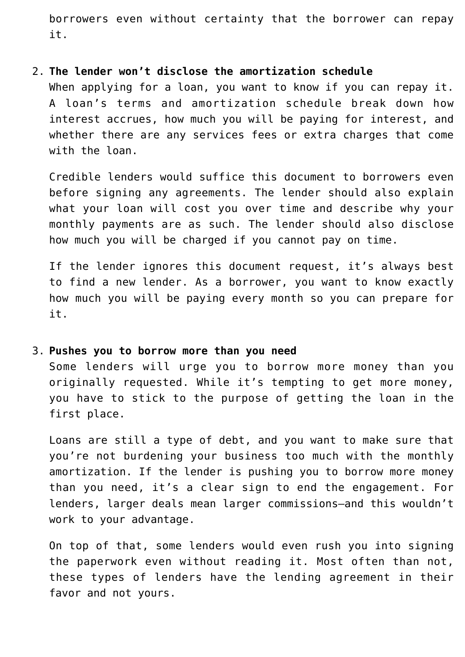borrowers even without certainty that the borrower can repay it.

#### 2. **The lender won't disclose the amortization schedule**

When applying for a loan, you want to know if you can repay it. A loan's terms and amortization schedule break down how interest accrues, how much you will be paying for interest, and whether there are any services fees or extra charges that come with the loan.

Credible lenders would suffice this document to borrowers even before signing any agreements. The lender should also explain what your loan will cost you over time and describe why your monthly payments are as such. The lender should also disclose how much you will be charged if you cannot pay on time.

If the lender ignores this document request, it's always best to find a new lender. As a borrower, you want to know exactly how much you will be paying every month so you can prepare for it.

# 3. **Pushes you to borrow more than you need**

Some lenders will urge you to borrow more money than you originally requested. While it's tempting to get more money, you have to stick to the purpose of getting the loan in the first place.

Loans are still a type of debt, and you want to make sure that you're not burdening your business too much with the monthly amortization. If the lender is pushing you to borrow more money than you need, it's a clear sign to end the engagement. For lenders, larger deals mean larger commissions–and this wouldn't work to your advantage.

On top of that, some lenders would even rush you into signing the paperwork even without reading it. Most often than not, these types of lenders have the lending agreement in their favor and not yours.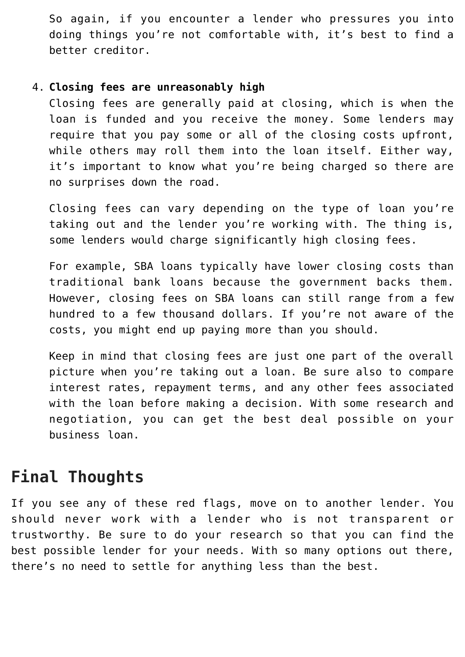So again, if you encounter a lender who pressures you into doing things you're not comfortable with, it's best to find a better creditor.

# 4. **Closing fees are unreasonably high**

Closing fees are generally paid at closing, which is when the loan is funded and you receive the money. Some lenders may require that you pay some or all of the closing costs upfront, while others may roll them into the loan itself. Either way, it's important to know what you're being charged so there are no surprises down the road.

Closing fees can vary depending on the type of loan you're taking out and the lender you're working with. The thing is, some lenders would charge significantly high closing fees.

For example, SBA loans typically have lower closing costs than traditional bank loans because the government backs them. However, closing fees on SBA loans can still range from a few hundred to a few thousand dollars. If you're not aware of the costs, you might end up paying more than you should.

Keep in mind that closing fees are just one part of the overall picture when you're taking out a loan. Be sure also to compare interest rates, repayment terms, and any other fees associated with the loan before making a decision. With some research and negotiation, you can get the best deal possible on your business loan.

# **Final Thoughts**

If you see any of these red flags, move on to another lender. You should never work with a lender who is not transparent or trustworthy. Be sure to do your research so that you can find the best possible lender for your needs. With so many options out there, there's no need to settle for anything less than the best.